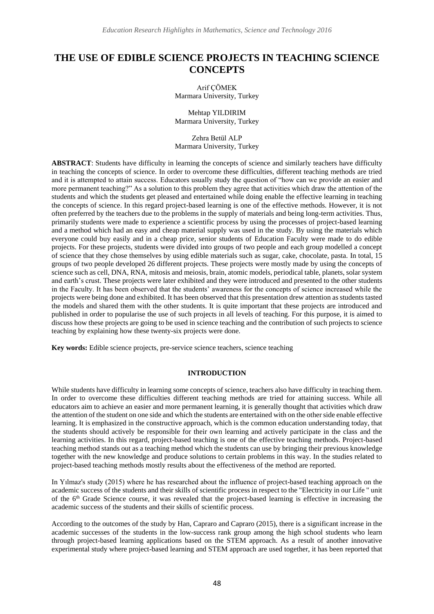# **THE USE OF EDIBLE SCIENCE PROJECTS IN TEACHING SCIENCE CONCEPTS**

Arif ÇÖMEK Marmara University, Turkey

Mehtap YILDIRIM Marmara University, Turkey

Zehra Betül ALP Marmara University, Turkey

**ABSTRACT**: Students have difficulty in learning the concepts of science and similarly teachers have difficulty in teaching the concepts of science. In order to overcome these difficulties, different teaching methods are tried and it is attempted to attain success. Educators usually study the question of "how can we provide an easier and more permanent teaching?" As a solution to this problem they agree that activities which draw the attention of the students and which the students get pleased and entertained while doing enable the effective learning in teaching the concepts of science. In this regard project-based learning is one of the effective methods. However, it is not often preferred by the teachers due to the problems in the supply of materials and being long-term activities. Thus, primarily students were made to experience a scientific process by using the processes of project-based learning and a method which had an easy and cheap material supply was used in the study. By using the materials which everyone could buy easily and in a cheap price, senior students of Education Faculty were made to do edible projects. For these projects, students were divided into groups of two people and each group modelled a concept of science that they chose themselves by using edible materials such as sugar, cake, chocolate, pasta. In total, 15 groups of two people developed 26 different projects. These projects were mostly made by using the concepts of science such as cell, DNA, RNA, mitosis and meiosis, brain, atomic models, periodical table, planets, solar system and earth's crust. These projects were later exhibited and they were introduced and presented to the other students in the Faculty. It has been observed that the students' awareness for the concepts of science increased while the projects were being done and exhibited. It has been observed that this presentation drew attention as students tasted the models and shared them with the other students. It is quite important that these projects are introduced and published in order to popularise the use of such projects in all levels of teaching. For this purpose, it is aimed to discuss how these projects are going to be used in science teaching and the contribution of such projects to science teaching by explaining how these twenty-six projects were done.

**Key words:** Edible science projects, pre-service science teachers, science teaching

#### **INTRODUCTION**

While students have difficulty in learning some concepts of science, teachers also have difficulty in teaching them. In order to overcome these difficulties different teaching methods are tried for attaining success. While all educators aim to achieve an easier and more permanent learning, it is generally thought that activities which draw the attention of the student on one side and which the students are entertained with on the other side enable effective learning. It is emphasized in the constructive approach, which is the common education understanding today, that the students should actively be responsible for their own learning and actively participate in the class and the learning activities. In this regard, project-based teaching is one of the effective teaching methods. Project-based teaching method stands out as a teaching method which the students can use by bringing their previous knowledge together with the new knowledge and produce solutions to certain problems in this way. In the studies related to project-based teaching methods mostly results about the effectiveness of the method are reported.

In Yılmaz's study (2015) where he has researched about the influence of project-based teaching approach on the academic success of the students and their skills of scientific process in respect to the "Electricity in our Life " unit of the 6th Grade Science course, it was revealed that the project-based learning is effective in increasing the academic success of the students and their skills of scientific process.

According to the outcomes of the study by Han, Capraro and Capraro (2015), there is a significant increase in the academic successes of the students in the low-success rank group among the high school students who learn through project-based learning applications based on the STEM approach. As a result of another innovative experimental study where project-based learning and STEM approach are used together, it has been reported that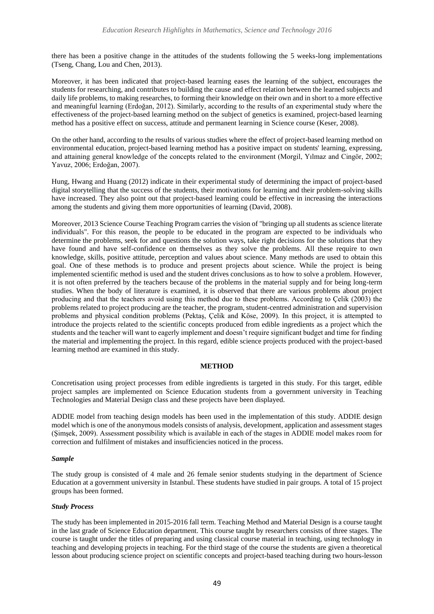there has been a positive change in the attitudes of the students following the 5 weeks-long implementations (Tseng, Chang, Lou and Chen, 2013).

Moreover, it has been indicated that project-based learning eases the learning of the subject, encourages the students for researching, and contributes to building the cause and effect relation between the learned subjects and daily life problems, to making researches, to forming their knowledge on their own and in short to a more effective and meaningful learning (Erdoğan, 2012). Similarly, according to the results of an experimental study where the effectiveness of the project-based learning method on the subject of genetics is examined, project-based learning method has a positive effect on success, attitude and permanent learning in Science course (Keser, 2008).

On the other hand, according to the results of various studies where the effect of project-based learning method on environmental education, project-based learning method has a positive impact on students' learning, expressing, and attaining general knowledge of the concepts related to the environment (Morgil, Yılmaz and Cingör, 2002; Yavuz, 2006; Erdoğan, 2007).

Hung, Hwang and Huang (2012) indicate in their experimental study of determining the impact of project-based digital storytelling that the success of the students, their motivations for learning and their problem-solving skills have increased. They also point out that project-based learning could be effective in increasing the interactions among the students and giving them more opportunities of learning (David, 2008).

Moreover, 2013 Science Course Teaching Program carries the vision of "bringing up all students as science literate individuals". For this reason, the people to be educated in the program are expected to be individuals who determine the problems, seek for and questions the solution ways, take right decisions for the solutions that they have found and have self-confidence on themselves as they solve the problems. All these require to own knowledge, skills, positive attitude, perception and values about science. Many methods are used to obtain this goal. One of these methods is to produce and present projects about science. While the project is being implemented scientific method is used and the student drives conclusions as to how to solve a problem. However, it is not often preferred by the teachers because of the problems in the material supply and for being long-term studies. When the body of literature is examined, it is observed that there are various problems about project producing and that the teachers avoid using this method due to these problems. According to Çelik (2003) the problems related to project producing are the teacher, the program, student-centred administration and supervision problems and physical condition problems (Pektaş, Çelik and Köse, 2009). In this project, it is attempted to introduce the projects related to the scientific concepts produced from edible ingredients as a project which the students and the teacher will want to eagerly implement and doesn't require significant budget and time for finding the material and implementing the project. In this regard, edible science projects produced with the project-based learning method are examined in this study.

#### **METHOD**

Concretisation using project processes from edible ingredients is targeted in this study. For this target, edible project samples are implemented on Science Education students from a government university in Teaching Technologies and Material Design class and these projects have been displayed.

ADDIE model from teaching design models has been used in the implementation of this study. ADDIE design model which is one of the anonymous models consists of analysis, development, application and assessment stages (Şimşek, 2009). Assessment possibility which is available in each of the stages in ADDIE model makes room for correction and fulfilment of mistakes and insufficiencies noticed in the process.

#### *Sample*

The study group is consisted of 4 male and 26 female senior students studying in the department of Science Education at a government university in Istanbul. These students have studied in pair groups. A total of 15 project groups has been formed.

#### *Study Process*

The study has been implemented in 2015-2016 fall term. Teaching Method and Material Design is a course taught in the last grade of Science Education department. This course taught by researchers consists of three stages. The course is taught under the titles of preparing and using classical course material in teaching, using technology in teaching and developing projects in teaching. For the third stage of the course the students are given a theoretical lesson about producing science project on scientific concepts and project-based teaching during two hours-lesson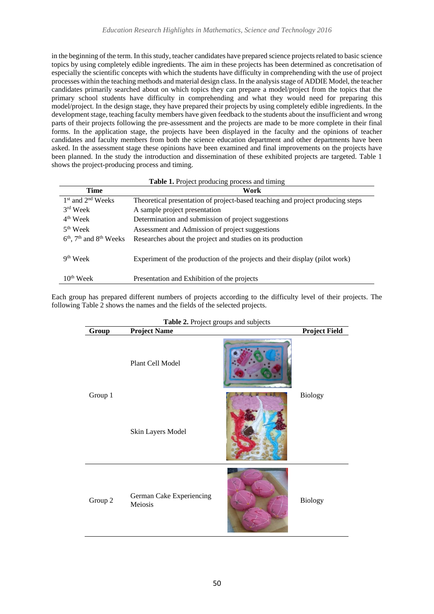in the beginning of the term. In this study, teacher candidates have prepared science projects related to basic science topics by using completely edible ingredients. The aim in these projects has been determined as concretisation of especially the scientific concepts with which the students have difficulty in comprehending with the use of project processes within the teaching methods and material design class. In the analysis stage of ADDIE Model, the teacher candidates primarily searched about on which topics they can prepare a model/project from the topics that the primary school students have difficulty in comprehending and what they would need for preparing this model/project. In the design stage, they have prepared their projects by using completely edible ingredients. In the development stage, teaching faculty members have given feedback to the students about the insufficient and wrong parts of their projects following the pre-assessment and the projects are made to be more complete in their final forms. In the application stage, the projects have been displayed in the faculty and the opinions of teacher candidates and faculty members from both the science education department and other departments have been asked. In the assessment stage these opinions have been examined and final improvements on the projects have been planned. In the study the introduction and dissemination of these exhibited projects are targeted. Table 1 shows the project-producing process and timing.

| Table 1. Project producing process and timing |  |  |  |  |  |
|-----------------------------------------------|--|--|--|--|--|
|-----------------------------------------------|--|--|--|--|--|

| <b>Time</b>                   | Work                                                                           |
|-------------------------------|--------------------------------------------------------------------------------|
| $1st$ and $2nd$ Weeks         | Theoretical presentation of project-based teaching and project producing steps |
| $3rd$ Week                    | A sample project presentation                                                  |
| $4th$ Week                    | Determination and submission of project suggestions                            |
| $5th$ Week                    | Assessment and Admission of project suggestions                                |
| $6th$ , $7th$ and $8th$ Weeks | Researches about the project and studies on its production                     |
| $9th$ Week                    | Experiment of the production of the projects and their display (pilot work)    |
| $10^{th}$ Week                | Presentation and Exhibition of the projects                                    |

Each group has prepared different numbers of projects according to the difficulty level of their projects. The following Table 2 shows the names and the fields of the selected projects.

| Group   | <b>Table 2.</b> 1 folco groups and subjects<br><b>Project Name</b> | <b>Project Field</b> |
|---------|--------------------------------------------------------------------|----------------------|
| Group 1 | Plant Cell Model                                                   |                      |
|         | Skin Layers Model                                                  | <b>Biology</b>       |
| Group 2 | German Cake Experiencing<br>Meiosis                                | <b>Biology</b>       |

**Table 2. Project groups and subjects**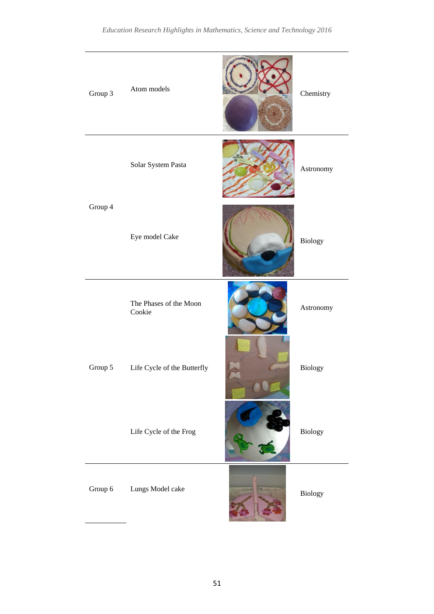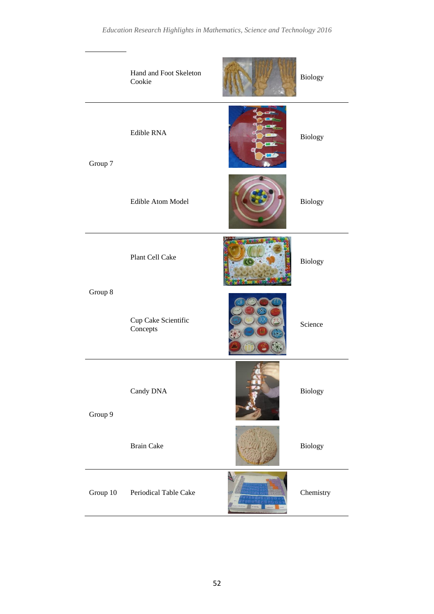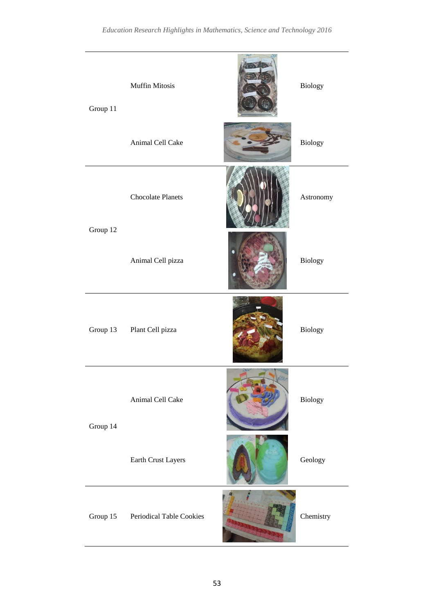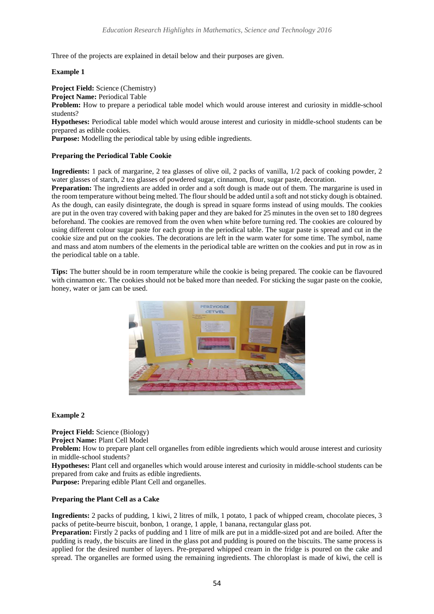Three of the projects are explained in detail below and their purposes are given.

**Example 1**

**Project Field:** Science (Chemistry)

**Project Name:** Periodical Table

Problem: How to prepare a periodical table model which would arouse interest and curiosity in middle-school students?

**Hypotheses:** Periodical table model which would arouse interest and curiosity in middle-school students can be prepared as edible cookies.

Purpose: Modelling the periodical table by using edible ingredients.

## **Preparing the Periodical Table Cookie**

**Ingredients:** 1 pack of margarine, 2 tea glasses of olive oil, 2 packs of vanilla, 1/2 pack of cooking powder, 2 water glasses of starch, 2 tea glasses of powdered sugar, cinnamon, flour, sugar paste, decoration.

**Preparation:** The ingredients are added in order and a soft dough is made out of them. The margarine is used in the room temperature without being melted. The flour should be added until a soft and not sticky dough is obtained. As the dough, can easily disintegrate, the dough is spread in square forms instead of using moulds. The cookies are put in the oven tray covered with baking paper and they are baked for 25 minutes in the oven set to 180 degrees beforehand. The cookies are removed from the oven when white before turning red. The cookies are coloured by using different colour sugar paste for each group in the periodical table. The sugar paste is spread and cut in the cookie size and put on the cookies. The decorations are left in the warm water for some time. The symbol, name and mass and atom numbers of the elements in the periodical table are written on the cookies and put in row as in the periodical table on a table.

**Tips:** The butter should be in room temperature while the cookie is being prepared. The cookie can be flavoured with cinnamon etc. The cookies should not be baked more than needed. For sticking the sugar paste on the cookie, honey, water or jam can be used.



## **Example 2**

**Project Field:** Science (Biology)

**Project Name:** Plant Cell Model

**Problem:** How to prepare plant cell organelles from edible ingredients which would arouse interest and curiosity in middle-school students?

**Hypotheses:** Plant cell and organelles which would arouse interest and curiosity in middle-school students can be prepared from cake and fruits as edible ingredients.

Purpose: Preparing edible Plant Cell and organelles.

## **Preparing the Plant Cell as a Cake**

**Ingredients:** 2 packs of pudding, 1 kiwi, 2 litres of milk, 1 potato, 1 pack of whipped cream, chocolate pieces, 3 packs of petite-beurre biscuit, bonbon, 1 orange, 1 apple, 1 banana, rectangular glass pot.

**Preparation:** Firstly 2 packs of pudding and 1 litre of milk are put in a middle-sized pot and are boiled. After the pudding is ready, the biscuits are lined in the glass pot and pudding is poured on the biscuits. The same process is applied for the desired number of layers. Pre-prepared whipped cream in the fridge is poured on the cake and spread. The organelles are formed using the remaining ingredients. The chloroplast is made of kiwi, the cell is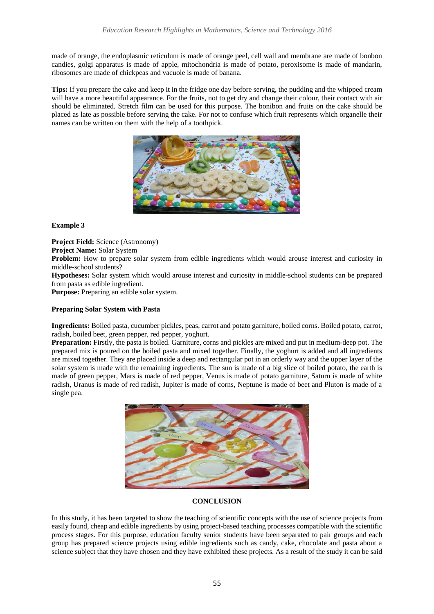made of orange, the endoplasmic reticulum is made of orange peel, cell wall and membrane are made of bonbon candies, golgi apparatus is made of apple, mitochondria is made of potato, peroxisome is made of mandarin, ribosomes are made of chickpeas and vacuole is made of banana.

**Tips:** If you prepare the cake and keep it in the fridge one day before serving, the pudding and the whipped cream will have a more beautiful appearance. For the fruits, not to get dry and change their colour, their contact with air should be eliminated. Stretch film can be used for this purpose. The bonibon and fruits on the cake should be placed as late as possible before serving the cake. For not to confuse which fruit represents which organelle their names can be written on them with the help of a toothpick.



## **Example 3**

**Project Field:** Science (Astronomy)

**Project Name:** Solar System

Problem: How to prepare solar system from edible ingredients which would arouse interest and curiosity in middle-school students?

**Hypotheses:** Solar system which would arouse interest and curiosity in middle-school students can be prepared from pasta as edible ingredient.

**Purpose:** Preparing an edible solar system.

## **Preparing Solar System with Pasta**

**Ingredients:** Boiled pasta, cucumber pickles, peas, carrot and potato garniture, boiled corns. Boiled potato, carrot, radish, boiled beet, green pepper, red pepper, yoghurt.

**Preparation:** Firstly, the pasta is boiled. Garniture, corns and pickles are mixed and put in medium-deep pot. The prepared mix is poured on the boiled pasta and mixed together. Finally, the yoghurt is added and all ingredients are mixed together. They are placed inside a deep and rectangular pot in an orderly way and the upper layer of the solar system is made with the remaining ingredients. The sun is made of a big slice of boiled potato, the earth is made of green pepper, Mars is made of red pepper, Venus is made of potato garniture, Saturn is made of white radish, Uranus is made of red radish, Jupiter is made of corns, Neptune is made of beet and Pluton is made of a single pea.



## **CONCLUSION**

In this study, it has been targeted to show the teaching of scientific concepts with the use of science projects from easily found, cheap and edible ingredients by using project-based teaching processes compatible with the scientific process stages. For this purpose, education faculty senior students have been separated to pair groups and each group has prepared science projects using edible ingredients such as candy, cake, chocolate and pasta about a science subject that they have chosen and they have exhibited these projects. As a result of the study it can be said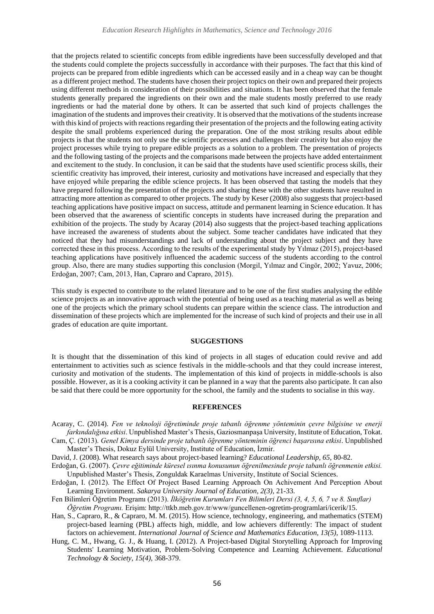that the projects related to scientific concepts from edible ingredients have been successfully developed and that the students could complete the projects successfully in accordance with their purposes. The fact that this kind of projects can be prepared from edible ingredients which can be accessed easily and in a cheap way can be thought as a different project method. The students have chosen their project topics on their own and prepared their projects using different methods in consideration of their possibilities and situations. It has been observed that the female students generally prepared the ingredients on their own and the male students mostly preferred to use ready ingredients or had the material done by others. It can be asserted that such kind of projects challenges the imagination of the students and improves their creativity. It is observed that the motivations of the students increase with this kind of projects with reactions regarding their presentation of the projects and the following eating activity despite the small problems experienced during the preparation. One of the most striking results about edible projects is that the students not only use the scientific processes and challenges their creativity but also enjoy the project processes while trying to prepare edible projects as a solution to a problem. The presentation of projects and the following tasting of the projects and the comparisons made between the projects have added entertainment and excitement to the study. In conclusion, it can be said that the students have used scientific process skills, their scientific creativity has improved, their interest, curiosity and motivations have increased and especially that they have enjoyed while preparing the edible science projects. It has been observed that tasting the models that they have prepared following the presentation of the projects and sharing these with the other students have resulted in attracting more attention as compared to other projects. The study by Keser (2008) also suggests that project-based teaching applications have positive impact on success, attitude and permanent learning in Science education. It has been observed that the awareness of scientific concepts in students have increased during the preparation and exhibition of the projects. The study by Acaray (2014) also suggests that the project-based teaching applications have increased the awareness of students about the subject. Some teacher candidates have indicated that they noticed that they had misunderstandings and lack of understanding about the project subject and they have corrected these in this process. According to the results of the experimental study by Yılmaz (2015), project-based teaching applications have positively influenced the academic success of the students according to the control group. Also, there are many studies supporting this conclusion (Morgil, Yılmaz and Cingör, 2002; Yavuz, 2006; Erdoğan, 2007; Cam, 2013, Han, Capraro and Capraro, 2015).

This study is expected to contribute to the related literature and to be one of the first studies analysing the edible science projects as an innovative approach with the potential of being used as a teaching material as well as being one of the projects which the primary school students can prepare within the science class. The introduction and dissemination of these projects which are implemented for the increase of such kind of projects and their use in all grades of education are quite important.

#### **SUGGESTIONS**

It is thought that the dissemination of this kind of projects in all stages of education could revive and add entertainment to activities such as science festivals in the middle-schools and that they could increase interest, curiosity and motivation of the students. The implementation of this kind of projects in middle-schools is also possible. However, as it is a cooking activity it can be planned in a way that the parents also participate. It can also be said that there could be more opportunity for the school, the family and the students to socialise in this way.

#### **REFERENCES**

- Acaray, C. (2014). *Fen ve teknoloji öğretiminde proje tabanlı öğrenme yönteminin çevre bilgisine ve enerji farkındalığına etkisi*. Unpublished Master's Thesis, Gaziosmanpaşa University, Institute of Education, Tokat. Cam, Ç. (2013). *Genel Kimya dersinde proje tabanlı öğrenme yönteminin öğrenci başarısına etkisi*. Unpublished
- Master's Thesis, Dokuz Eylül University, Institute of Education, İzmir.
- David, J. (2008). What research says about project-based learning? *Educational Leadership, 65*, 80-82. Erdoğan, G. (2007). *Çevre eğitiminde küresel ısınma konusunun öğrenilmesinde proje tabanlı öğrenmenin etkisi.*
- Unpublished Master's Thesis, Zonguldak Karaelmas University, Institute of Social Sciences.
- Erdoğan, I. (2012). The Effect Of Project Based Learning Approach On Achivement And Perception About Learning Environment. *Sakarya University Journal of Education, 2(3),* 21-33.
- Fen Bilimleri Öğretim Programı (2013). *İlköğretim Kurumları Fen Bilimleri Dersi (3, 4, 5, 6, 7 ve 8. Sınıflar) Öğretim Programı.* Erişim: http://ttkb.meb.gov.tr/www/guncellenen-ogretim-programlari/icerik/15.
- Han, S., Capraro, R., & Capraro, M. M. (2015). How science, technology, engineering, and mathematics (STEM) project-based learning (PBL) affects high, middle, and low achievers differently: The impact of student factors on achievement. *International Journal of Science and Mathematics Education, 13(5),* 1089-1113.
- Hung, C. M., Hwang, G. J., & Huang, I. (2012). A Project-based Digital Storytelling Approach for Improving Students' Learning Motivation, Problem-Solving Competence and Learning Achievement. *Educational Technology & Society, 15(4),* 368-379.